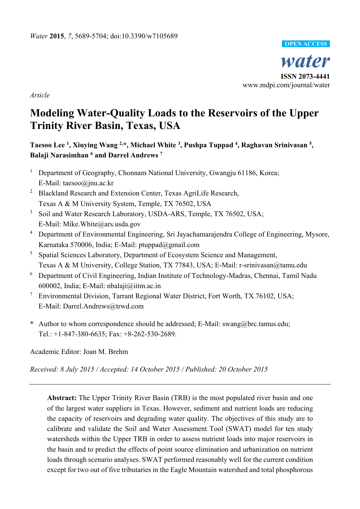

*Article* 

# **Modeling Water-Quality Loads to the Reservoirs of the Upper Trinity River Basin, Texas, USA**

# Taesoo Lee<sup>1</sup>, Xiuying Wang <sup>2,\*</sup>, Michael White <sup>3</sup>, Pushpa Tuppad <sup>4</sup>, Raghavan Srinivasan <sup>5</sup>, **Balaji Narasimhan 6 and Darrel Andrews 7**

- <sup>1</sup> Department of Geography, Chonnam National University, Gwangju 61186, Korea; E-Mail: taesoo@jnu.ac.kr
- <sup>2</sup> Blackland Research and Extension Center, Texas AgriLife Research, Texas A & M University System, Temple, TX 76502, USA
- <sup>3</sup> Soil and Water Research Laboratory, USDA-ARS, Temple, TX 76502, USA; E-Mail: Mike.White@ars.usda.gov
- <sup>4</sup> Department of Environmental Engineering, Sri Jayachamarajendra College of Engineering, Mysore, Karnataka 570006, India; E-Mail: ptuppad@gmail.com
- <sup>5</sup> Spatial Sciences Laboratory, Department of Ecosystem Science and Management, Texas A & M University, College Station, TX 77843, USA; E-Mail: r-srinivasan@tamu.edu
- <sup>6</sup> Department of Civil Engineering, Indian Institute of Technology-Madras, Chennai, Tamil Nadu 600002, India; E-Mail: nbalaji@iitm.ac.in
- <sup>7</sup> Environmental Division, Tarrant Regional Water District, Fort Worth, TX 76102, USA; E-Mail: Darrel.Andrews@trwd.com
- **\*** Author to whom correspondence should be addressed; E-Mail: swang@brc.tamus.edu; Tel.: +1-847-380-6635; Fax: +8-262-530-2689.

Academic Editor: Joan M. Brehm

*Received: 8 July 2015 / Accepted: 14 October 2015 / Published: 20 October 2015* 

**Abstract:** The Upper Trinity River Basin (TRB) is the most populated river basin and one of the largest water suppliers in Texas. However, sediment and nutrient loads are reducing the capacity of reservoirs and degrading water quality. The objectives of this study are to calibrate and validate the Soil and Water Assessment Tool (SWAT) model for ten study watersheds within the Upper TRB in order to assess nutrient loads into major reservoirs in the basin and to predict the effects of point source elimination and urbanization on nutrient loads through scenario analyses. SWAT performed reasonably well for the current condition except for two out of five tributaries in the Eagle Mountain watershed and total phosphorous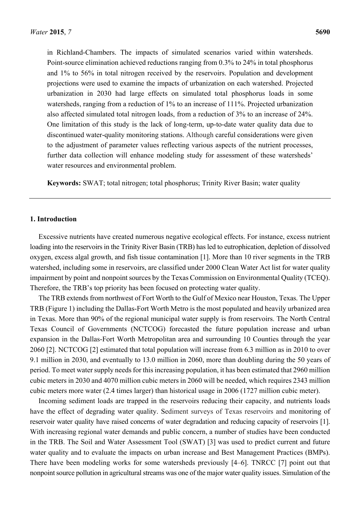in Richland-Chambers. The impacts of simulated scenarios varied within watersheds. Point-source elimination achieved reductions ranging from 0.3% to 24% in total phosphorus and 1% to 56% in total nitrogen received by the reservoirs. Population and development projections were used to examine the impacts of urbanization on each watershed. Projected urbanization in 2030 had large effects on simulated total phosphorus loads in some watersheds, ranging from a reduction of 1% to an increase of 111%. Projected urbanization also affected simulated total nitrogen loads, from a reduction of 3% to an increase of 24%. One limitation of this study is the lack of long-term, up-to-date water quality data due to discontinued water-quality monitoring stations. Although careful considerations were given to the adjustment of parameter values reflecting various aspects of the nutrient processes, further data collection will enhance modeling study for assessment of these watersheds' water resources and environmental problem.

**Keywords:** SWAT; total nitrogen; total phosphorus; Trinity River Basin; water quality

#### **1. Introduction**

Excessive nutrients have created numerous negative ecological effects. For instance, excess nutrient loading into the reservoirs in the Trinity River Basin (TRB) has led to eutrophication, depletion of dissolved oxygen, excess algal growth, and fish tissue contamination [1]. More than 10 river segments in the TRB watershed, including some in reservoirs, are classified under 2000 Clean Water Act list for water quality impairment by point and nonpoint sources by the Texas Commission on Environmental Quality (TCEQ). Therefore, the TRB's top priority has been focused on protecting water quality.

The TRB extends from northwest of Fort Worth to the Gulf of Mexico near Houston, Texas. The Upper TRB (Figure 1) including the Dallas-Fort Worth Metro is the most populated and heavily urbanized area in Texas. More than 90% of the regional municipal water supply is from reservoirs. The North Central Texas Council of Governments (NCTCOG) forecasted the future population increase and urban expansion in the Dallas-Fort Worth Metropolitan area and surrounding 10 Counties through the year 2060 [2]. NCTCOG [2] estimated that total population will increase from 6.3 million as in 2010 to over 9.1 million in 2030, and eventually to 13.0 million in 2060, more than doubling during the 50 years of period. To meet water supply needs for this increasing population, it has been estimated that 2960 million cubic meters in 2030 and 4070 million cubic meters in 2060 will be needed, which requires 2343 million cubic meters more water (2.4 times larger) than historical usage in 2006 (1727 million cubic meter).

Incoming sediment loads are trapped in the reservoirs reducing their capacity, and nutrients loads have the effect of degrading water quality. Sediment surveys of Texas reservoirs and monitoring of reservoir water quality have raised concerns of water degradation and reducing capacity of reservoirs [1]. With increasing regional water demands and public concern, a number of studies have been conducted in the TRB. The Soil and Water Assessment Tool (SWAT) [3] was used to predict current and future water quality and to evaluate the impacts on urban increase and Best Management Practices (BMPs). There have been modeling works for some watersheds previously [4–6]. TNRCC [7] point out that nonpoint source pollution in agricultural streams was one of the major water quality issues. Simulation of the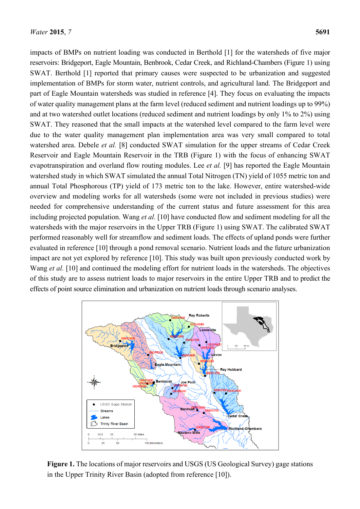impacts of BMPs on nutrient loading was conducted in Berthold [1] for the watersheds of five major reservoirs: Bridgeport, Eagle Mountain, Benbrook, Cedar Creek, and Richland-Chambers (Figure 1) using SWAT. Berthold [1] reported that primary causes were suspected to be urbanization and suggested implementation of BMPs for storm water, nutrient controls, and agricultural land. The Bridgeport and part of Eagle Mountain watersheds was studied in reference [4]. They focus on evaluating the impacts of water quality management plans at the farm level (reduced sediment and nutrient loadings up to 99%) and at two watershed outlet locations (reduced sediment and nutrient loadings by only 1% to 2%) using SWAT. They reasoned that the small impacts at the watershed level compared to the farm level were due to the water quality management plan implementation area was very small compared to total watershed area. Debele *et al.* [8] conducted SWAT simulation for the upper streams of Cedar Creek Reservoir and Eagle Mountain Reservoir in the TRB (Figure 1) with the focus of enhancing SWAT evapotranspiration and overland flow routing modules. Lee *et al.* [9] has reported the Eagle Mountain watershed study in which SWAT simulated the annual Total Nitrogen (TN) yield of 1055 metric ton and annual Total Phosphorous (TP) yield of 173 metric ton to the lake. However, entire watershed-wide overview and modeling works for all watersheds (some were not included in previous studies) were needed for comprehensive understanding of the current status and future assessment for this area including projected population. Wang *et al.* [10] have conducted flow and sediment modeling for all the watersheds with the major reservoirs in the Upper TRB (Figure 1) using SWAT. The calibrated SWAT performed reasonably well for streamflow and sediment loads. The effects of upland ponds were further evaluated in reference [10] through a pond removal scenario. Nutrient loads and the future urbanization impact are not yet explored by reference [10]. This study was built upon previously conducted work by Wang *et al.* [10] and continued the modeling effort for nutrient loads in the watersheds. The objectives of this study are to assess nutrient loads to major reservoirs in the entire Upper TRB and to predict the effects of point source elimination and urbanization on nutrient loads through scenario analyses.



**Figure 1.** The locations of major reservoirs and USGS (US Geological Survey) gage stations in the Upper Trinity River Basin (adopted from reference [10]).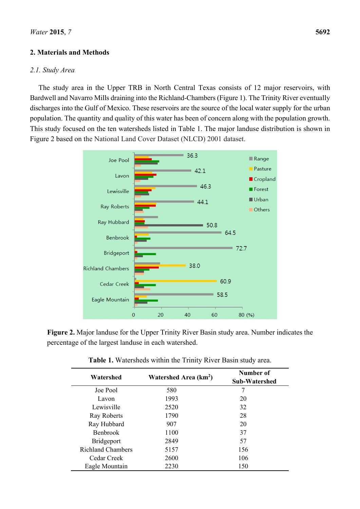# **2. Materials and Methods**

#### *2.1. Study Area*

The study area in the Upper TRB in North Central Texas consists of 12 major reservoirs, with Bardwell and Navarro Mills draining into the Richland-Chambers (Figure 1). The Trinity River eventually discharges into the Gulf of Mexico. These reservoirs are the source of the local water supply for the urban population. The quantity and quality of this water has been of concern along with the population growth. This study focused on the ten watersheds listed in Table 1. The major landuse distribution is shown in Figure 2 based on the National Land Cover Dataset (NLCD) 2001 dataset.



**Figure 2.** Major landuse for the Upper Trinity River Basin study area. Number indicates the percentage of the largest landuse in each watershed.

| Watershed                | Watershed Area (km <sup>2</sup> ) | Number of<br><b>Sub-Watershed</b> |
|--------------------------|-----------------------------------|-----------------------------------|
| Joe Pool                 | 580                               | 7                                 |
| Lavon                    | 1993                              | 20                                |
| Lewisville               | 2520                              | 32                                |
| Ray Roberts              | 1790                              | 28                                |
| Ray Hubbard              | 907                               | 20                                |
| <b>Benbrook</b>          | 1100                              | 37                                |
| <b>Bridgeport</b>        | 2849                              | 57                                |
| <b>Richland Chambers</b> | 5157                              | 156                               |
| Cedar Creek              | 2600                              | 106                               |
| Eagle Mountain           | 2230                              | 150                               |

**Table 1.** Watersheds within the Trinity River Basin study area.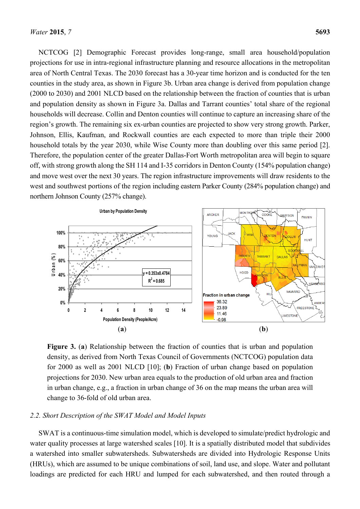NCTCOG [2] Demographic Forecast provides long-range, small area household/population projections for use in intra-regional infrastructure planning and resource allocations in the metropolitan area of North Central Texas. The 2030 forecast has a 30-year time horizon and is conducted for the ten counties in the study area, as shown in Figure 3b. Urban area change is derived from population change (2000 to 2030) and 2001 NLCD based on the relationship between the fraction of counties that is urban and population density as shown in Figure 3a. Dallas and Tarrant counties' total share of the regional households will decrease. Collin and Denton counties will continue to capture an increasing share of the region's growth. The remaining six ex-urban counties are projected to show very strong growth. Parker, Johnson, Ellis, Kaufman, and Rockwall counties are each expected to more than triple their 2000 household totals by the year 2030, while Wise County more than doubling over this same period [2]. Therefore, the population center of the greater Dallas-Fort Worth metropolitan area will begin to square off, with strong growth along the SH 114 and I-35 corridors in Denton County (154% population change) and move west over the next 30 years. The region infrastructure improvements will draw residents to the west and southwest portions of the region including eastern Parker County (284% population change) and northern Johnson County (257% change).



**Figure 3.** (**a**) Relationship between the fraction of counties that is urban and population density, as derived from North Texas Council of Governments (NCTCOG) population data for 2000 as well as 2001 NLCD [10]; (**b**) Fraction of urban change based on population projections for 2030. New urban area equals to the production of old urban area and fraction in urban change, e.g., a fraction in urban change of 36 on the map means the urban area will change to 36-fold of old urban area.

# *2.2. Short Description of the SWAT Model and Model Inputs*

SWAT is a continuous-time simulation model, which is developed to simulate/predict hydrologic and water quality processes at large watershed scales [10]. It is a spatially distributed model that subdivides a watershed into smaller subwatersheds. Subwatersheds are divided into Hydrologic Response Units (HRUs), which are assumed to be unique combinations of soil, land use, and slope. Water and pollutant loadings are predicted for each HRU and lumped for each subwatershed, and then routed through a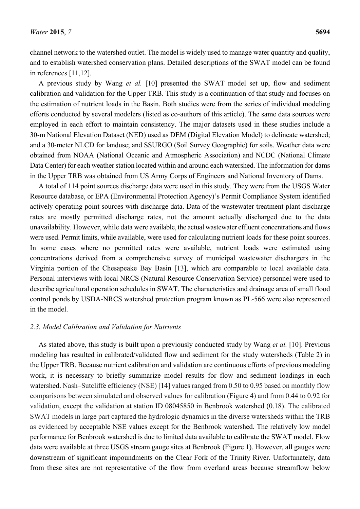channel network to the watershed outlet. The model is widely used to manage water quantity and quality, and to establish watershed conservation plans. Detailed descriptions of the SWAT model can be found in references [11,12].

A previous study by Wang *et al.* [10] presented the SWAT model set up, flow and sediment calibration and validation for the Upper TRB. This study is a continuation of that study and focuses on the estimation of nutrient loads in the Basin. Both studies were from the series of individual modeling efforts conducted by several modelers (listed as co-authors of this article). The same data sources were employed in each effort to maintain consistency. The major datasets used in these studies include a 30-m National Elevation Dataset (NED) used as DEM (Digital Elevation Model) to delineate watershed; and a 30-meter NLCD for landuse; and SSURGO (Soil Survey Geographic) for soils. Weather data were obtained from NOAA (National Oceanic and Atmospheric Association) and NCDC (National Climate Data Center) for each weather station located within and around each watershed. The information for dams in the Upper TRB was obtained from US Army Corps of Engineers and National Inventory of Dams.

A total of 114 point sources discharge data were used in this study. They were from the USGS Water Resource database, or EPA (Environmental Protection Agency)'s Permit Compliance System identified actively operating point sources with discharge data. Data of the wastewater treatment plant discharge rates are mostly permitted discharge rates, not the amount actually discharged due to the data unavailability. However, while data were available, the actual wastewater effluent concentrations and flows were used. Permit limits, while available, were used for calculating nutrient loads for these point sources. In some cases where no permitted rates were available, nutrient loads were estimated using concentrations derived from a comprehensive survey of municipal wastewater dischargers in the Virginia portion of the Chesapeake Bay Basin [13], which are comparable to local available data. Personal interviews with local NRCS (Natural Resource Conservation Service) personnel were used to describe agricultural operation schedules in SWAT. The characteristics and drainage area of small flood control ponds by USDA-NRCS watershed protection program known as PL-566 were also represented in the model

# *2.3. Model Calibration and Validation for Nutrients*

As stated above, this study is built upon a previously conducted study by Wang *et al.* [10]. Previous modeling has resulted in calibrated/validated flow and sediment for the study watersheds (Table 2) in the Upper TRB. Because nutrient calibration and validation are continuous efforts of previous modeling work, it is necessary to briefly summarize model results for flow and sediment loadings in each watershed. Nash–Sutcliffe efficiency (NSE) [14] values ranged from 0.50 to 0.95 based on monthly flow comparisons between simulated and observed values for calibration (Figure 4) and from 0.44 to 0.92 for validation, except the validation at station ID 08045850 in Benbrook watershed (0.18). The calibrated SWAT models in large part captured the hydrologic dynamics in the diverse watersheds within the TRB as evidenced by acceptable NSE values except for the Benbrook watershed. The relatively low model performance for Benbrook watershed is due to limited data available to calibrate the SWAT model. Flow data were available at three USGS stream gauge sites at Benbrook (Figure 1). However, all gauges were downstream of significant impoundments on the Clear Fork of the Trinity River. Unfortunately, data from these sites are not representative of the flow from overland areas because streamflow below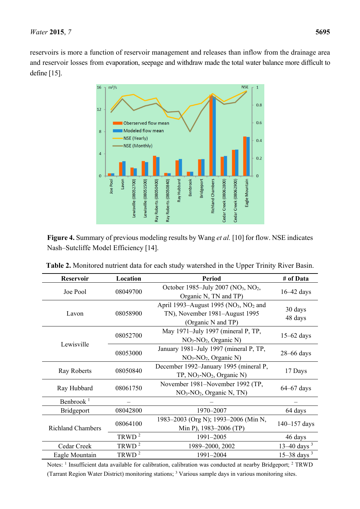reservoirs is more a function of reservoir management and releases than inflow from the drainage area and reservoir losses from evaporation, seepage and withdraw made the total water balance more difficult to define [15].



**Figure 4.** Summary of previous modeling results by Wang *et al.* [10] for flow. NSE indicates Nash–Sutcliffe Model Efficiency [14].

**Table 2.** Monitored nutrient data for each study watershed in the Upper Trinity River Basin.

| <b>Reservoir</b>         | Location                               | <b>Period</b>                                               | # of Data          |  |
|--------------------------|----------------------------------------|-------------------------------------------------------------|--------------------|--|
| Joe Pool                 | 08049700                               | October 1985–July 2007 (NO <sub>3</sub> , NO <sub>2</sub> , | $16-42$ days       |  |
|                          |                                        | Organic N, TN and TP)                                       |                    |  |
|                          |                                        | April 1993–August 1995 ( $NO3$ , $NO2$ and                  |                    |  |
| Lavon                    | 08058900                               | TN), November 1981–August 1995                              | 30 days<br>48 days |  |
|                          |                                        | (Organic N and TP)                                          |                    |  |
|                          | 08052700                               | May 1971–July 1997 (mineral P, TP,                          |                    |  |
| Lewisville               |                                        | $NO3-NO2$ , Organic N)                                      | $15-62$ days       |  |
|                          | 08053000                               | January 1981–July 1997 (mineral P, TP,                      | $28 - 66$ days     |  |
|                          |                                        | $NO3-NO2$ , Organic N)                                      |                    |  |
|                          | December 1992–January 1995 (mineral P, |                                                             |                    |  |
| Ray Roberts              | 08050840                               | $TP, NO_3-NO_2, Organic N)$                                 | 17 Days            |  |
|                          |                                        | November 1981–November 1992 (TP,                            |                    |  |
| Ray Hubbard              | 08061750                               | $NO3-NO2$ , Organic N, TN)                                  | $64 - 67$ days     |  |
| Benbrook <sup>1</sup>    |                                        |                                                             |                    |  |
| <b>Bridgeport</b>        | 08042800                               | 1970-2007                                                   | 64 days            |  |
|                          |                                        | 1983-2003 (Org N); 1993-2006 (Min N,                        |                    |  |
| <b>Richland Chambers</b> | 08064100                               | Min P), 1983–2006 (TP)                                      | $140 - 157$ days   |  |
|                          | TRWD $^2$                              | 1991-2005                                                   | 46 days            |  |
| Cedar Creek              | TRWD <sup>2</sup>                      | 1989-2000, 2002                                             | 13–40 days $3$     |  |
| Eagle Mountain           | TRWD $^2$                              | 1991-2004                                                   | $15-38$ days $3$   |  |

Notes: <sup>1</sup> Insufficient data available for calibration, calibration was conducted at nearby Bridgeport; <sup>2</sup> TRWD (Tarrant Region Water District) monitoring stations; 3 Various sample days in various monitoring sites.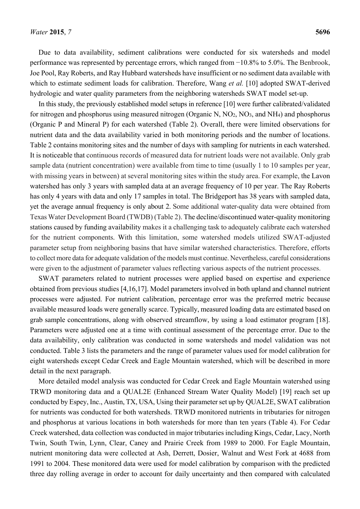Due to data availability, sediment calibrations were conducted for six watersheds and model performance was represented by percentage errors, which ranged from −10.8% to 5.0%. The Benbrook, Joe Pool, Ray Roberts, and Ray Hubbard watersheds have insufficient or no sediment data available with which to estimate sediment loads for calibration. Therefore, Wang *et al.* [10] adopted SWAT-derived hydrologic and water quality parameters from the neighboring watersheds SWAT model set-up.

In this study, the previously established model setups in reference [10] were further calibrated/validated for nitrogen and phosphorus using measured nitrogen (Organic N,  $NO<sub>2</sub>$ ,  $NO<sub>3</sub>$ , and NH<sub>4</sub>) and phosphorus (Organic P and Mineral P) for each watershed (Table 2). Overall, there were limited observations for nutrient data and the data availability varied in both monitoring periods and the number of locations. Table 2 contains monitoring sites and the number of days with sampling for nutrients in each watershed. It is noticeable that continuous records of measured data for nutrient loads were not available. Only grab sample data (nutrient concentration) were available from time to time (usually 1 to 10 samples per year, with missing years in between) at several monitoring sites within the study area. For example, the Lavon watershed has only 3 years with sampled data at an average frequency of 10 per year. The Ray Roberts has only 4 years with data and only 17 samples in total. The Bridgeport has 38 years with sampled data, yet the average annual frequency is only about 2. Some additional water-quality data were obtained from Texas Water Development Board (TWDB) (Table 2). The decline/discontinued water-quality monitoring stations caused by funding availability makes it a challenging task to adequately calibrate each watershed for the nutrient components. With this limitation, some watershed models utilized SWAT-adjusted parameter setup from neighboring basins that have similar watershed characteristics. Therefore, efforts to collect more data for adequate validation of the models must continue. Nevertheless, careful considerations were given to the adjustment of parameter values reflecting various aspects of the nutrient processes.

SWAT parameters related to nutrient processes were applied based on expertise and experience obtained from previous studies [4,16,17]. Model parameters involved in both upland and channel nutrient processes were adjusted. For nutrient calibration, percentage error was the preferred metric because available measured loads were generally scarce. Typically, measured loading data are estimated based on grab sample concentrations, along with observed streamflow, by using a load estimator program [18]. Parameters were adjusted one at a time with continual assessment of the percentage error. Due to the data availability, only calibration was conducted in some watersheds and model validation was not conducted. Table 3 lists the parameters and the range of parameter values used for model calibration for eight watersheds except Cedar Creek and Eagle Mountain watershed, which will be described in more detail in the next paragraph.

More detailed model analysis was conducted for Cedar Creek and Eagle Mountain watershed using TRWD monitoring data and a QUAL2E (Enhanced Stream Water Quality Model) [19] reach set up conducted by Espey, Inc., Austin, TX, USA, Using their parameter set up by QUAL2E, SWAT calibration for nutrients was conducted for both watersheds. TRWD monitored nutrients in tributaries for nitrogen and phosphorus at various locations in both watersheds for more than ten years (Table 4). For Cedar Creek watershed, data collection was conducted in major tributaries including Kings, Cedar, Lacy, North Twin, South Twin, Lynn, Clear, Caney and Prairie Creek from 1989 to 2000. For Eagle Mountain, nutrient monitoring data were collected at Ash, Derrett, Dosier, Walnut and West Fork at 4688 from 1991 to 2004. These monitored data were used for model calibration by comparison with the predicted three day rolling average in order to account for daily uncertainty and then compared with calculated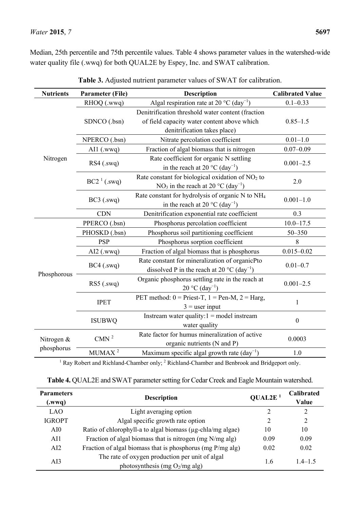Median, 25th percentile and 75th percentile values. Table 4 shows parameter values in the watershed-wide water quality file (.wwq) for both QUAL2E by Espey, Inc. and SWAT calibration.

| <b>Nutrients</b> | <b>Parameter (File)</b><br><b>Description</b>       |                                                                                                                      | <b>Calibrated Value</b> |
|------------------|-----------------------------------------------------|----------------------------------------------------------------------------------------------------------------------|-------------------------|
|                  | RHOQ (.wwq)                                         | Algal respiration rate at 20 $^{\circ}$ C (day <sup>-1</sup> )                                                       | $0.1 - 0.33$            |
|                  |                                                     | Denitrification threshold water content (fraction                                                                    |                         |
|                  | SDNCO (.bsn)                                        | of field capacity water content above which                                                                          | $0.85 - 1.5$            |
|                  |                                                     | denitrification takes place)                                                                                         |                         |
|                  | NPERCO (.bsn)                                       | Nitrate percolation coefficient                                                                                      | $0.01 - 1.0$            |
|                  | AI1 (.wwq)                                          | Fraction of algal biomass that is nitrogen                                                                           | $0.07 - 0.09$           |
| Nitrogen         | $RS4$ (.swq)                                        | Rate coefficient for organic N settling<br>in the reach at 20 $^{\circ}$ C (day <sup>-1</sup> )                      | $0.001 - 2.5$           |
|                  | $BC21$ (.swq)                                       | Rate constant for biological oxidation of $NO2$ to<br>NO <sub>3</sub> in the reach at 20 °C (day <sup>-1</sup> )     | 2.0                     |
|                  | $BC3$ (.swq)                                        | Rate constant for hydrolysis of organic N to NH <sub>4</sub><br>in the reach at 20 $^{\circ}$ C (day <sup>-1</sup> ) | $0.001 - 1.0$           |
|                  | <b>CDN</b>                                          | Denitrification exponential rate coefficient                                                                         | 0.3                     |
|                  | PPERCO (.bsn)<br>Phosphorus percolation coefficient |                                                                                                                      | $10.0 - 17.5$           |
|                  | PHOSKD (.bsn)                                       | Phosphorus soil partitioning coefficient                                                                             | 50-350                  |
|                  | <b>PSP</b><br>Phosphorus sorption coefficient       |                                                                                                                      | 8                       |
|                  | $AI2$ (.wwq)                                        | Fraction of algal biomass that is phosphorus                                                                         | $0.015 - 0.02$          |
|                  | $BC4$ (.swq)                                        | Rate constant for mineralization of organicPto<br>dissolved P in the reach at 20 $^{\circ}$ C (day <sup>-1</sup> )   | $0.01 - 0.7$            |
| Phosphorous      | $RS5$ (.swq)                                        | Organic phosphorus settling rate in the reach at<br>$20 °C$ (day <sup>-1</sup> )                                     | $0.001 - 2.5$           |
|                  | <b>IPET</b>                                         | PET method: $0 =$ Priest-T, $1 =$ Pen-M, $2 =$ Harg,<br>$3$ = user input                                             | 1                       |
|                  | <b>ISUBWQ</b>                                       | Instream water quality: $1 =$ model instream<br>water quality                                                        | $\boldsymbol{0}$        |
| Nitrogen &       | CMN $2$                                             | Rate factor for humus mineralization of active<br>organic nutrients (N and P)                                        | 0.0003                  |
| phosphorus       | MUMAX <sup>2</sup>                                  | Maximum specific algal growth rate $\text{(day}^{-1})$                                                               | 1.0                     |

|  | Table 3. Adjusted nutrient parameter values of SWAT for calibration. |  |
|--|----------------------------------------------------------------------|--|
|  |                                                                      |  |

<sup>1</sup> Ray Robert and Richland-Chamber only; <sup>2</sup> Richland-Chamber and Benbrook and Bridgeport only.

| Table 4. QUAL2E and SWAT parameter setting for Cedar Creek and Eagle Mountain watershed. |  |
|------------------------------------------------------------------------------------------|--|
|                                                                                          |  |

| <b>Parameters</b><br>(xwy) | <b>Description</b>                                         | QUAL2E <sup>1</sup> | <b>Calibrated</b><br>Value |  |
|----------------------------|------------------------------------------------------------|---------------------|----------------------------|--|
| <b>LAO</b>                 | Light averaging option                                     | 2                   | 2                          |  |
| <b>IGROPT</b>              | Algal specific growth rate option                          | 2                   | 2                          |  |
| AI <sub>0</sub>            | Ratio of chlorophyll-a to algal biomass (µg-chla/mg algae) | 10                  | 10                         |  |
| AI1                        | Fraction of algal biomass that is nitrogen (mg N/mg alg)   | 0.09                | 0.09                       |  |
| AI2                        | Fraction of algal biomass that is phosphorus (mg P/mg alg) | 0.02                | 0.02                       |  |
|                            | The rate of oxygen production per unit of algal            |                     | $14-15$                    |  |
| AI3                        | photosynthesis (mg $O_2/mg$ alg)                           | 1.6                 |                            |  |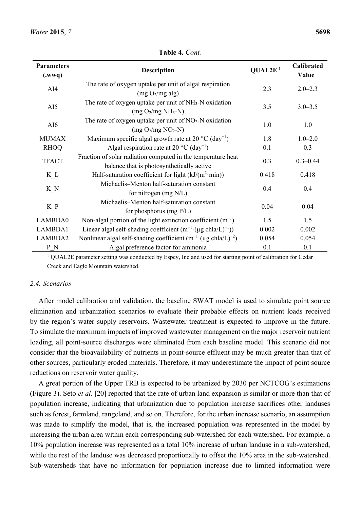| <b>Parameters</b><br>(wwq) | <b>Description</b>                                                                                        | QUAL2E <sup>1</sup> | Calibrated<br>Value |
|----------------------------|-----------------------------------------------------------------------------------------------------------|---------------------|---------------------|
| AI4                        | The rate of oxygen uptake per unit of algal respiration<br>(mg O <sub>2</sub> /mg alg)                    | 2.3                 | $2.0 - 2.3$         |
| AI5                        | The rate of oxygen uptake per unit of $NH3-N$ oxidation<br>$(mg O2/mg NH3-N)$                             | 3.5                 | $3.0 - 3.5$         |
| AI6                        | The rate of oxygen uptake per unit of $NO2-N$ oxidation<br>$(mg O2/mg NO2-N)$                             | 1.0                 | 1.0                 |
| <b>MUMAX</b>               | Maximum specific algal growth rate at 20 $^{\circ}$ C (day <sup>-1</sup> )                                | 1.8                 | $1.0 - 2.0$         |
| <b>RHOQ</b>                | Algal respiration rate at 20 $^{\circ}$ C (day <sup>-1</sup> )                                            | 0.1                 | 0.3                 |
| <b>TFACT</b>               | Fraction of solar radiation computed in the temperature heat<br>balance that is photosynthetically active | 0.3                 | $0.3 - 0.44$        |
| $K_L$                      | Half-saturation coefficient for light $(kJ/(m^2 \cdot min))$                                              | 0.418               | 0.418               |
| K N                        | Michaelis-Menton half-saturation constant<br>for nitrogen $(mg N/L)$                                      | 0.4                 | 0.4                 |
| K P                        | Michaelis-Menton half-saturation constant<br>for phosphorus (mg $P/L$ )                                   | 0.04                | 0.04                |
| LAMBDA0                    | Non-algal portion of the light extinction coefficient $(m^{-1})$                                          | 1.5                 | 1.5                 |
| LAMBDA1                    | Linear algal self-shading coefficient $(m^{-1} ( \mu g \text{ chla}/L)^{-1}))$                            | 0.002               | 0.002               |
| LAMBDA2                    | Nonlinear algal self-shading coefficient $(m^{-1} ( \mu g \text{ chla/L})^{-2})$                          | 0.054               | 0.054               |
| P N                        | Algal preference factor for ammonia                                                                       | 0.1                 | 0.1                 |

**Table 4.** *Cont.* 

<sup>1</sup> QUAL2E parameter setting was conducted by Espey, Inc and used for starting point of calibration for Cedar Creek and Eagle Mountain watershed.

#### *2.4. Scenarios*

After model calibration and validation, the baseline SWAT model is used to simulate point source elimination and urbanization scenarios to evaluate their probable effects on nutrient loads received by the region's water supply reservoirs. Wastewater treatment is expected to improve in the future. To simulate the maximum impacts of improved wastewater management on the major reservoir nutrient loading, all point-source discharges were eliminated from each baseline model. This scenario did not consider that the bioavailability of nutrients in point-source effluent may be much greater than that of other sources, particularly eroded materials. Therefore, it may underestimate the impact of point source reductions on reservoir water quality.

A great portion of the Upper TRB is expected to be urbanized by 2030 per NCTCOG's estimations (Figure 3). Seto *et al.* [20] reported that the rate of urban land expansion is similar or more than that of population increase, indicating that urbanization due to population increase sacrifices other landuses such as forest, farmland, rangeland, and so on. Therefore, for the urban increase scenario, an assumption was made to simplify the model, that is, the increased population was represented in the model by increasing the urban area within each corresponding sub-watershed for each watershed. For example, a 10% population increase was represented as a total 10% increase of urban landuse in a sub-watershed, while the rest of the landuse was decreased proportionally to offset the 10% area in the sub-watershed. Sub-watersheds that have no information for population increase due to limited information were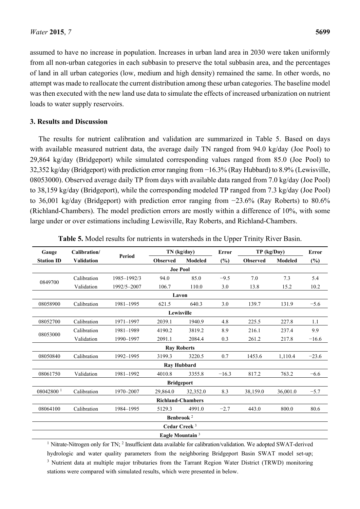assumed to have no increase in population. Increases in urban land area in 2030 were taken uniformly from all non-urban categories in each subbasin to preserve the total subbasin area, and the percentages of land in all urban categories (low, medium and high density) remained the same. In other words, no attempt was made to reallocate the current distribution among these urban categories. The baseline model was then executed with the new land use data to simulate the effects of increased urbanization on nutrient loads to water supply reservoirs.

#### **3. Results and Discussion**

The results for nutrient calibration and validation are summarized in Table 5. Based on days with available measured nutrient data, the average daily TN ranged from 94.0 kg/day (Joe Pool) to 29,864 kg/day (Bridgeport) while simulated corresponding values ranged from 85.0 (Joe Pool) to 32,352 kg/day (Bridgeport) with prediction error ranging from −16.3% (Ray Hubbard) to 8.9% (Lewisville, 08053000). Observed average daily TP from days with available data ranged from 7.0 kg/day (Joe Pool) to 38,159 kg/day (Bridgeport), while the corresponding modeled TP ranged from 7.3 kg/day (Joe Pool) to 36,001 kg/day (Bridgeport) with prediction error ranging from −23.6% (Ray Roberts) to 80.6% (Richland-Chambers). The model prediction errors are mostly within a difference of 10%, with some large under or over estimations including Lewisville, Ray Roberts, and Richland-Chambers.

| Gauge                       | Calibration/             |             | TN (kg/day)        |                | Error   | TP (kg/Day)     |          | <b>Error</b> |
|-----------------------------|--------------------------|-------------|--------------------|----------------|---------|-----------------|----------|--------------|
| <b>Station ID</b>           | <b>Validation</b>        | Period      | <b>Observed</b>    | <b>Modeled</b> | (%)     | <b>Observed</b> | Modeled  | $(\%)$       |
|                             |                          |             | <b>Joe Pool</b>    |                |         |                 |          |              |
|                             | Calibration              | 1985-1992/3 | 94.0               | 85.0           | $-9.5$  | 7.0             | 7.3      | 5.4          |
| 0849700                     | Validation               | 1992/5-2007 | 106.7              | 110.0          | 3.0     | 13.8            | 15.2     | 10.2         |
|                             |                          |             | Lavon              |                |         |                 |          |              |
| 08058900                    | Calibration              | 1981-1995   | 621.5              | 640.3          | 3.0     | 139.7           | 131.9    | $-5.6$       |
|                             |                          |             | Lewisville         |                |         |                 |          |              |
| 08052700                    | Calibration              | 1971-1997   | 2039.1             | 1940.9         | 4.8     | 225.5           | 227.8    | 1.1          |
|                             | Calibration              | 1981-1989   | 4190.2             | 3819.2         | 8.9     | 216.1           | 237.4    | 9.9          |
| 08053000                    | Validation               | 1990-1997   | 2091.1             | 2084.4         | 0.3     | 261.2           | 217.8    | $-16.6$      |
|                             |                          |             | <b>Ray Roberts</b> |                |         |                 |          |              |
| 08050840                    | Calibration              | 1992-1995   | 3199.3             | 3220.5         | 0.7     | 1453.6          | 1,110.4  | $-23.6$      |
|                             |                          |             | <b>Ray Hubbard</b> |                |         |                 |          |              |
| 08061750                    | Validation               | 1981-1992   | 4010.8             | 3355.8         | $-16.3$ | 817.2           | 763.2    | $-6.6$       |
|                             |                          |             | <b>Bridgeport</b>  |                |         |                 |          |              |
| 08042800 <sup>1</sup>       | Calibration              | 1970-2007   | 29,864.0           | 32,352.0       | 8.3     | 38,159.0        | 36,001.0 | $-5.7$       |
| <b>Richland-Chambers</b>    |                          |             |                    |                |         |                 |          |              |
| 08064100                    | Calibration              | 1984-1995   | 5129.3             | 4991.0         | $-2.7$  | 443.0           | 800.0    | 80.6         |
|                             | Benbrook $^2$            |             |                    |                |         |                 |          |              |
|                             | Cedar Creek <sup>3</sup> |             |                    |                |         |                 |          |              |
| Eagle Mountain <sup>3</sup> |                          |             |                    |                |         |                 |          |              |

**Table 5.** Model results for nutrients in watersheds in the Upper Trinity River Basin.

<sup>1</sup> Nitrate-Nitrogen only for TN; <sup>2</sup> Insufficient data available for calibration/validation. We adopted SWAT-derived hydrologic and water quality parameters from the neighboring Bridgeport Basin SWAT model set-up; <sup>3</sup> Nutrient data at multiple major tributaries from the Tarrant Region Water District (TRWD) monitoring stations were compared with simulated results, which were presented in below.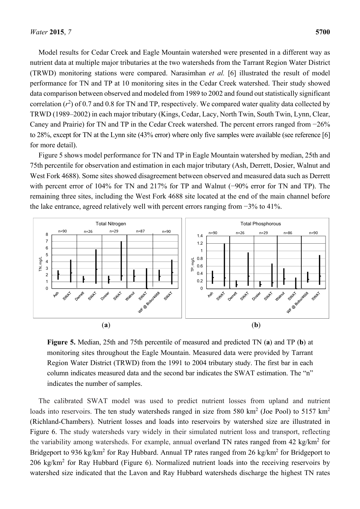Model results for Cedar Creek and Eagle Mountain watershed were presented in a different way as nutrient data at multiple major tributaries at the two watersheds from the Tarrant Region Water District (TRWD) monitoring stations were compared. Narasimhan *et al.* [6] illustrated the result of model performance for TN and TP at 10 monitoring sites in the Cedar Creek watershed. Their study showed data comparison between observed and modeled from 1989 to 2002 and found out statistically significant correlation  $(r^2)$  of 0.7 and 0.8 for TN and TP, respectively. We compared water quality data collected by TRWD (1989–2002) in each major tributary (Kings, Cedar, Lacy, North Twin, South Twin, Lynn, Clear, Caney and Prairie) for TN and TP in the Cedar Creek watershed. The percent errors ranged from −26% to 28%, except for TN at the Lynn site (43% error) where only five samples were available (see reference [6] for more detail).

Figure 5 shows model performance for TN and TP in Eagle Mountain watershed by median, 25th and 75th percentile for observation and estimation in each major tributary (Ash, Derrett, Dosier, Walnut and West Fork 4688). Some sites showed disagreement between observed and measured data such as Derrett with percent error of 104% for TN and 217% for TP and Walnut (−90% error for TN and TP). The remaining three sites, including the West Fork 4688 site located at the end of the main channel before the lake entrance, agreed relatively well with percent errors ranging from −3% to 41%.



**Figure 5.** Median, 25th and 75th percentile of measured and predicted TN (**a**) and TP (**b**) at monitoring sites throughout the Eagle Mountain. Measured data were provided by Tarrant Region Water District (TRWD) from the 1991 to 2004 tributary study. The first bar in each column indicates measured data and the second bar indicates the SWAT estimation. The "n" indicates the number of samples.

The calibrated SWAT model was used to predict nutrient losses from upland and nutrient loads into reservoirs. The ten study watersheds ranged in size from 580 km<sup>2</sup> (Joe Pool) to 5157 km<sup>2</sup> (Richland-Chambers). Nutrient losses and loads into reservoirs by watershed size are illustrated in Figure 6. The study watersheds vary widely in their simulated nutrient loss and transport, reflecting the variability among watersheds. For example, annual overland TN rates ranged from 42 kg/km<sup>2</sup> for Bridgeport to 936 kg/km<sup>2</sup> for Ray Hubbard. Annual TP rates ranged from 26 kg/km<sup>2</sup> for Bridgeport to 206 kg/km<sup>2</sup> for Ray Hubbard (Figure 6). Normalized nutrient loads into the receiving reservoirs by watershed size indicated that the Lavon and Ray Hubbard watersheds discharge the highest TN rates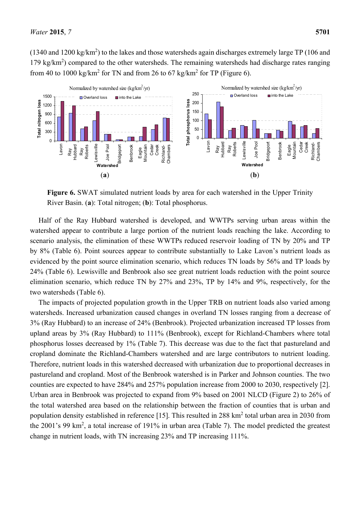$(1340 \text{ and } 1200 \text{ kg/km}^2)$  to the lakes and those watersheds again discharges extremely large TP (106 and 179 kg/km<sup>2</sup>) compared to the other watersheds. The remaining watersheds had discharge rates ranging from 40 to 1000 kg/km<sup>2</sup> for TN and from 26 to 67 kg/km<sup>2</sup> for TP (Figure 6).



**Figure 6.** SWAT simulated nutrient loads by area for each watershed in the Upper Trinity River Basin. (**a**): Total nitrogen; (**b**): Total phosphorus.

Half of the Ray Hubbard watershed is developed, and WWTPs serving urban areas within the watershed appear to contribute a large portion of the nutrient loads reaching the lake. According to scenario analysis, the elimination of these WWTPs reduced reservoir loading of TN by 20% and TP by 8% (Table 6). Point sources appear to contribute substantially to Lake Lavon's nutrient loads as evidenced by the point source elimination scenario, which reduces TN loads by 56% and TP loads by 24% (Table 6). Lewisville and Benbrook also see great nutrient loads reduction with the point source elimination scenario, which reduce TN by 27% and 23%, TP by 14% and 9%, respectively, for the two watersheds (Table 6).

The impacts of projected population growth in the Upper TRB on nutrient loads also varied among watersheds. Increased urbanization caused changes in overland TN losses ranging from a decrease of 3% (Ray Hubbard) to an increase of 24% (Benbrook). Projected urbanization increased TP losses from upland areas by 3% (Ray Hubbard) to 111% (Benbrook), except for Richland-Chambers where total phosphorus losses decreased by 1% (Table 7). This decrease was due to the fact that pastureland and cropland dominate the Richland-Chambers watershed and are large contributors to nutrient loading. Therefore, nutrient loads in this watershed decreased with urbanization due to proportional decreases in pastureland and cropland. Most of the Benbrook watershed is in Parker and Johnson counties. The two counties are expected to have 284% and 257% population increase from 2000 to 2030, respectively [2]. Urban area in Benbrook was projected to expand from 9% based on 2001 NLCD (Figure 2) to 26% of the total watershed area based on the relationship between the fraction of counties that is urban and population density established in reference [15]. This resulted in 288 km<sup>2</sup> total urban area in 2030 from the 2001's 99 km<sup>2</sup>, a total increase of 191% in urban area (Table 7). The model predicted the greatest change in nutrient loads, with TN increasing 23% and TP increasing 111%.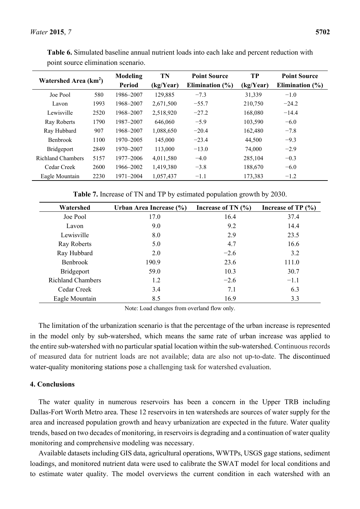| Watershed Area (km <sup>2</sup> ) |      | <b>Modeling</b> | <b>TN</b> | <b>Point Source</b> | TP        | <b>Point Source</b> |
|-----------------------------------|------|-----------------|-----------|---------------------|-----------|---------------------|
|                                   |      | <b>Period</b>   | (kg/Year) | Elimination $(\% )$ | (kg/Year) | Elimination $(\% )$ |
| Joe Pool                          | 580  | 1986-2007       | 129,885   | $-7.3$              | 31,339    | $-1.0$              |
| Lavon                             | 1993 | 1968-2007       | 2,671,500 | $-55.7$             | 210,750   | $-24.2$             |
| Lewisville                        | 2520 | 1968-2007       | 2,518,920 | $-27.2$             | 168,080   | $-14.4$             |
| Ray Roberts                       | 1790 | 1987-2007       | 646,060   | $-5.9$              | 103,590   | $-6.0$              |
| Ray Hubbard                       | 907  | 1968-2007       | 1,088,650 | $-20.4$             | 162,480   | $-7.8$              |
| <b>Benbrook</b>                   | 1100 | 1970–2005       | 145,000   | $-23.4$             | 44,500    | $-9.3$              |
| <b>Bridgeport</b>                 | 2849 | 1970-2007       | 113,000   | $-13.0$             | 74,000    | $-2.9$              |
| <b>Richland Chambers</b>          | 5157 | 1977–2006       | 4,011,580 | $-4.0$              | 285,104   | $-0.3$              |
| Cedar Creek                       | 2600 | 1966-2002       | 1,419,380 | $-3.8$              | 188,670   | $-6.0$              |
| Eagle Mountain                    | 2230 | 1971-2004       | 1,057,437 | $-1.1$              | 173,383   | $-1.2$              |

**Table 6.** Simulated baseline annual nutrient loads into each lake and percent reduction with point source elimination scenario.

**Table 7.** Increase of TN and TP by estimated population growth by 2030.

| Watershed                | Urban Area Increase (%) | Increase of TN $(\% )$ | Increase of TP $(\% )$ |
|--------------------------|-------------------------|------------------------|------------------------|
| Joe Pool                 | 17.0                    | 16.4                   | 37.4                   |
| Lavon                    | 9.0                     | 9.2                    | 14.4                   |
| Lewisville               | 8.0                     | 2.9                    | 23.5                   |
| Ray Roberts              | 5.0                     | 4.7                    | 16.6                   |
| Ray Hubbard              | 2.0                     | $-2.6$                 | 3.2                    |
| Benbrook                 | 190.9                   | 23.6                   | 111.0                  |
| <b>Bridgeport</b>        | 59.0                    | 10.3                   | 30.7                   |
| <b>Richland Chambers</b> | 1.2                     | $-2.6$                 | $-1.1$                 |
| Cedar Creek              | 3.4                     | 7.1                    | 6.3                    |
| Eagle Mountain           | 8.5                     | 16.9                   | 3.3                    |

Note: Load changes from overland flow only.

The limitation of the urbanization scenario is that the percentage of the urban increase is represented in the model only by sub-watershed, which means the same rate of urban increase was applied to the entire sub-watershed with no particular spatial location within the sub-watershed. Continuous records of measured data for nutrient loads are not available; data are also not up-to-date. The discontinued water-quality monitoring stations pose a challenging task for watershed evaluation.

# **4. Conclusions**

The water quality in numerous reservoirs has been a concern in the Upper TRB including Dallas-Fort Worth Metro area. These 12 reservoirs in ten watersheds are sources of water supply for the area and increased population growth and heavy urbanization are expected in the future. Water quality trends, based on two decades of monitoring, in reservoirs is degrading and a continuation of water quality monitoring and comprehensive modeling was necessary.

Available datasets including GIS data, agricultural operations, WWTPs, USGS gage stations, sediment loadings, and monitored nutrient data were used to calibrate the SWAT model for local conditions and to estimate water quality. The model overviews the current condition in each watershed with an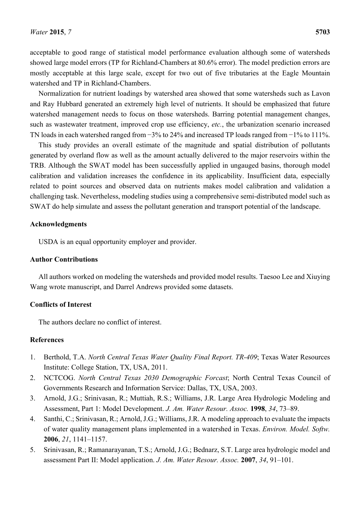acceptable to good range of statistical model performance evaluation although some of watersheds showed large model errors (TP for Richland-Chambers at 80.6% error). The model prediction errors are mostly acceptable at this large scale, except for two out of five tributaries at the Eagle Mountain watershed and TP in Richland-Chambers.

Normalization for nutrient loadings by watershed area showed that some watersheds such as Lavon and Ray Hubbard generated an extremely high level of nutrients. It should be emphasized that future watershed management needs to focus on those watersheds. Barring potential management changes, such as wastewater treatment, improved crop use efficiency, *etc.*, the urbanization scenario increased TN loads in each watershed ranged from −3% to 24% and increased TP loads ranged from −1% to 111%.

This study provides an overall estimate of the magnitude and spatial distribution of pollutants generated by overland flow as well as the amount actually delivered to the major reservoirs within the TRB. Although the SWAT model has been successfully applied in ungauged basins, thorough model calibration and validation increases the confidence in its applicability. Insufficient data, especially related to point sources and observed data on nutrients makes model calibration and validation a challenging task. Nevertheless, modeling studies using a comprehensive semi-distributed model such as SWAT do help simulate and assess the pollutant generation and transport potential of the landscape.

### **Acknowledgments**

USDA is an equal opportunity employer and provider.

#### **Author Contributions**

All authors worked on modeling the watersheds and provided model results. Taesoo Lee and Xiuying Wang wrote manuscript, and Darrel Andrews provided some datasets.

# **Conflicts of Interest**

The authors declare no conflict of interest.

#### **References**

- 1. Berthold, T.A. *North Central Texas Water Quality Final Report. TR-409*; Texas Water Resources Institute: College Station, TX, USA, 2011.
- 2. NCTCOG. *North Central Texas 2030 Demographic Forcast*; North Central Texas Council of Governments Research and Information Service: Dallas, TX, USA, 2003.
- 3. Arnold, J.G.; Srinivasan, R.; Muttiah, R.S.; Williams, J.R. Large Area Hydrologic Modeling and Assessment, Part 1: Model Development. *J. Am. Water Resour. Assoc.* **1998**, *34*, 73–89.
- 4. Santhi, C.; Srinivasan, R.; Arnold, J.G.; Williams, J.R. A modeling approach to evaluate the impacts of water quality management plans implemented in a watershed in Texas. *Environ. Model. Softw.* **2006**, *21*, 1141–1157.
- 5. Srinivasan, R.; Ramanarayanan, T.S.; Arnold, J.G.; Bednarz, S.T. Large area hydrologic model and assessment Part II: Model application. *J. Am. Water Resour. Assoc.* **2007**, *34*, 91–101.